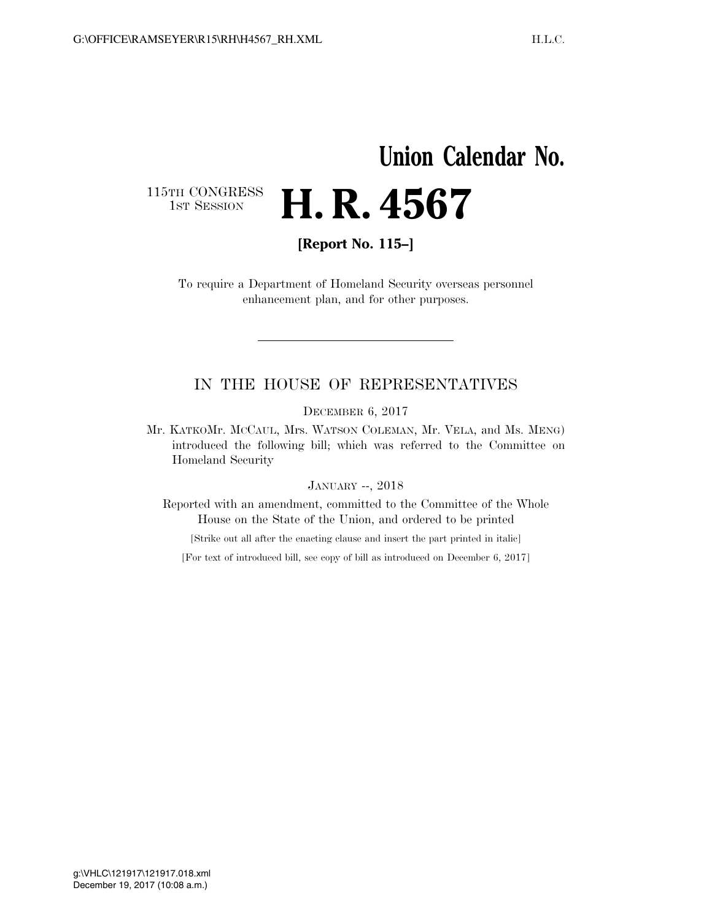# **Union Calendar No.**

115TH CONGRESS<br>1st Session

**[Report No. 115–]** 

**H. R. 4567** 

To require a Department of Homeland Security overseas personnel enhancement plan, and for other purposes.

### IN THE HOUSE OF REPRESENTATIVES

DECEMBER 6, 2017

Mr. KATKOMr. MCCAUL, Mrs. WATSON COLEMAN, Mr. VELA, and Ms. MENG) introduced the following bill; which was referred to the Committee on Homeland Security

#### JANUARY --, 2018

Reported with an amendment, committed to the Committee of the Whole House on the State of the Union, and ordered to be printed

[Strike out all after the enacting clause and insert the part printed in italic]

[For text of introduced bill, see copy of bill as introduced on December 6, 2017]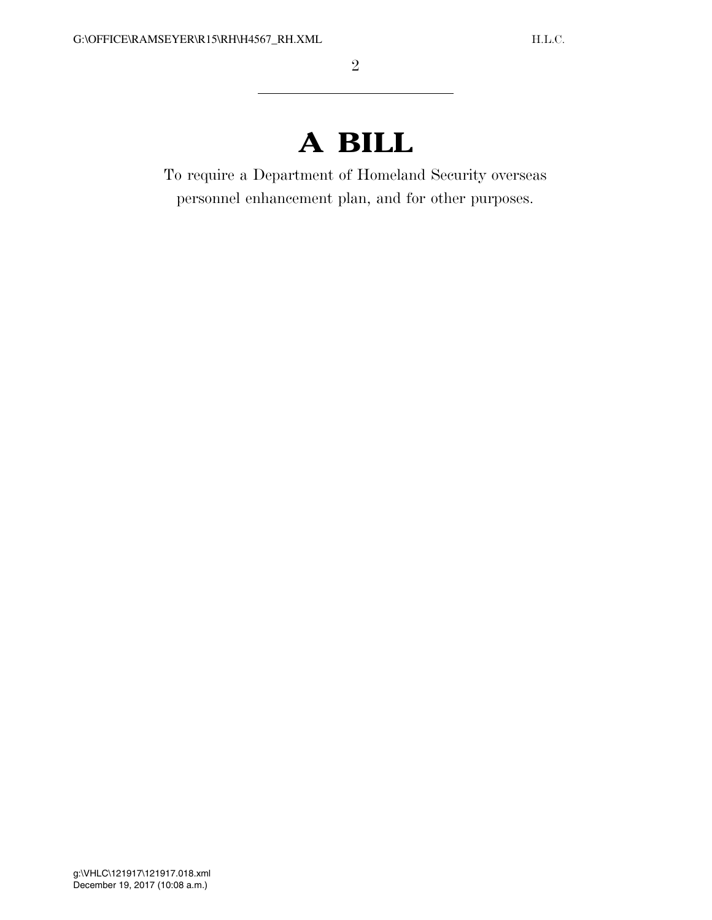## **A BILL**

To require a Department of Homeland Security overseas personnel enhancement plan, and for other purposes.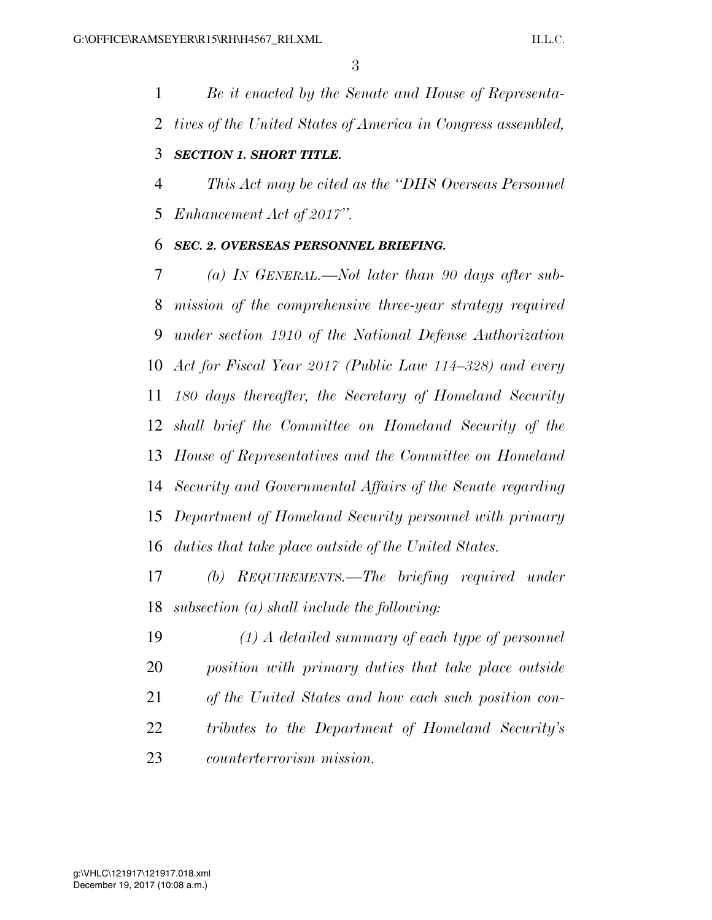*Be it enacted by the Senate and House of Representa-tives of the United States of America in Congress assembled,* 

### *SECTION 1. SHORT TITLE.*

 *This Act may be cited as the ''DHS Overseas Personnel Enhancement Act of 2017''.* 

### *SEC. 2. OVERSEAS PERSONNEL BRIEFING.*

 *(a) IN GENERAL.—Not later than 90 days after sub- mission of the comprehensive three-year strategy required under section 1910 of the National Defense Authorization Act for Fiscal Year 2017 (Public Law 114–328) and every 180 days thereafter, the Secretary of Homeland Security shall brief the Committee on Homeland Security of the House of Representatives and the Committee on Homeland Security and Governmental Affairs of the Senate regarding Department of Homeland Security personnel with primary duties that take place outside of the United States.* 

 *(b) REQUIREMENTS.—The briefing required under subsection (a) shall include the following:* 

 *(1) A detailed summary of each type of personnel position with primary duties that take place outside of the United States and how each such position con- tributes to the Department of Homeland Security's counterterrorism mission.*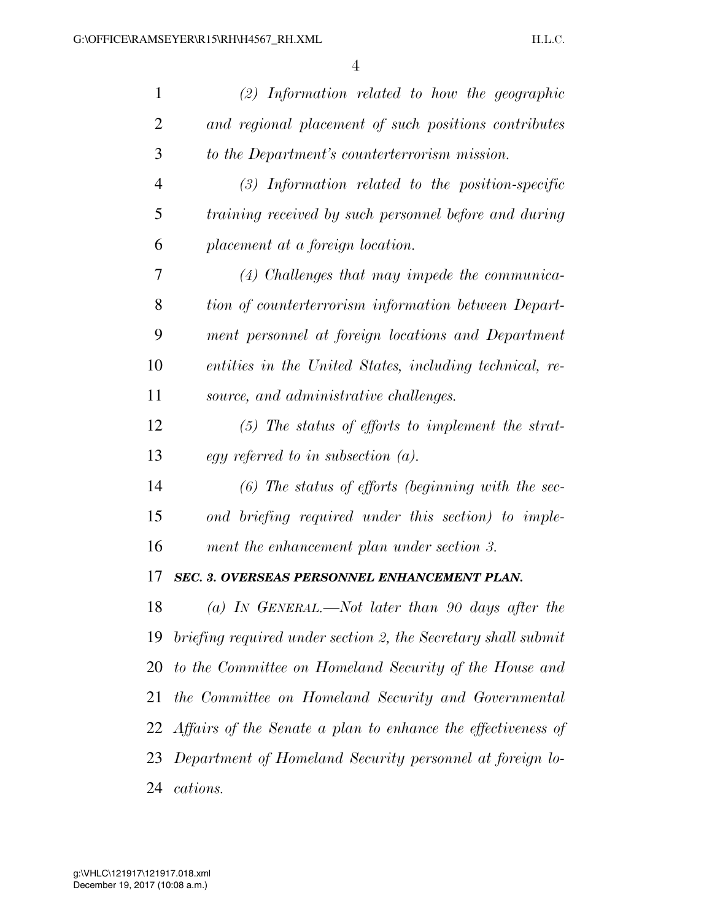| 1              | $(2)$ Information related to how the geographic                 |
|----------------|-----------------------------------------------------------------|
| $\overline{2}$ | and regional placement of such positions contributes            |
| 3              | to the Department's counterterrorism mission.                   |
| $\overline{4}$ | $(3)$ Information related to the position-specific              |
| 5              | training received by such personnel before and during           |
| 6              | placement at a foreign location.                                |
| 7              | $(4)$ Challenges that may impede the communica-                 |
| 8              | tion of counterterrorism information between Depart-            |
| 9              | ment personnel at foreign locations and Department              |
| 10             | entities in the United States, including technical, re-         |
| 11             | source, and administrative challenges.                          |
| 12             | $(5)$ The status of efforts to implement the strat-             |
| 13             | egy referred to in subsection $(a)$ .                           |
| 14             | $(6)$ The status of efforts (beginning with the sec-            |
| 15             | ond briefing required under this section) to imple-             |
| 16             | ment the enhancement plan under section 3.                      |
| 17             | <b>SEC. 3. OVERSEAS PERSONNEL ENHANCEMENT PLAN.</b>             |
| 18             | (a) IN GENERAL.—Not later than 90 days after the                |
| 19             | briefing required under section 2, the Secretary shall submit   |
| <b>20</b>      | to the Committee on Homeland Security of the House and          |
| 21             | the Committee on Homeland Security and Governmental             |
|                | 22 Affairs of the Senate a plan to enhance the effectiveness of |
| 23             | Department of Homeland Security personnel at foreign lo-        |
| 24             | cations.                                                        |